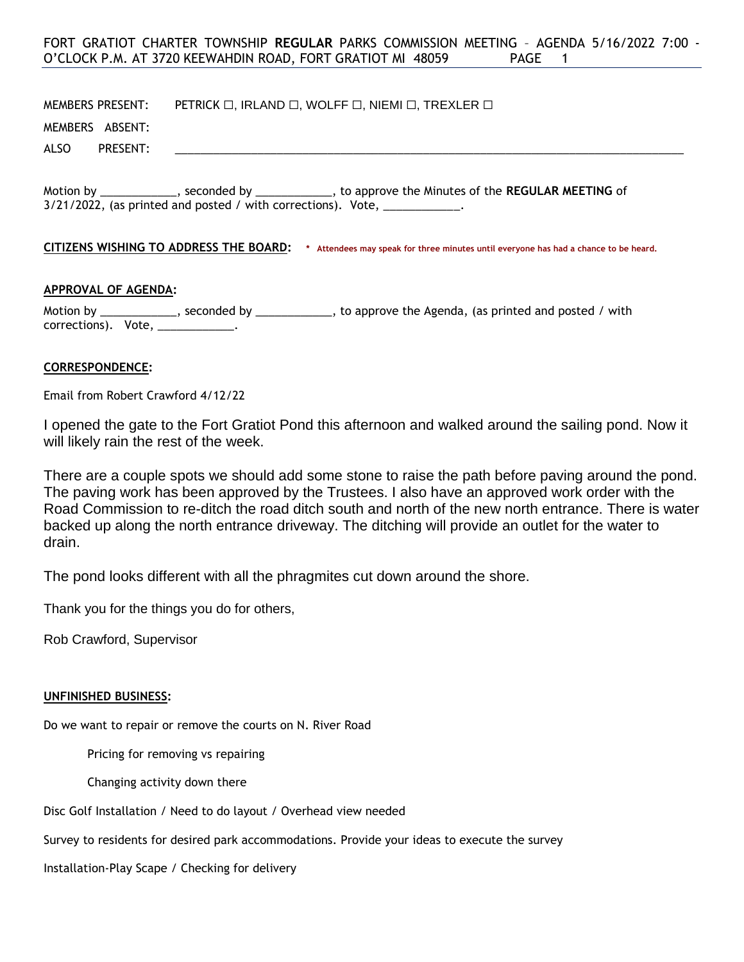# FORT GRATIOT CHARTER TOWNSHIP **REGULAR** PARKS COMMISSION MEETING – AGENDA 5/16/2022 7:00 - O'CLOCK P.M. AT 3720 KEEWAHDIN ROAD, FORT GRATIOT MI 48059 PAGE 1

MEMBERS PRESENT: PETRICK □, IRLAND □, WOLFF □, NIEMI □, TREXLER □

MEMBERS ABSENT:

ALSO PRESENT: \_\_\_\_\_\_\_\_\_\_\_\_\_\_\_\_\_\_\_\_\_\_\_\_\_\_\_\_\_\_\_\_\_\_\_\_\_\_\_\_\_\_\_\_\_\_\_\_\_\_\_\_\_\_\_\_\_\_\_\_\_\_\_\_\_\_\_\_\_\_\_\_\_\_\_\_\_\_\_\_

Motion by \_\_\_\_\_\_\_\_\_\_\_\_, seconded by \_\_\_\_\_\_\_\_\_\_\_\_, to approve the Minutes of the **REGULAR MEETING** of  $3/21/2022$ , (as printed and posted / with corrections). Vote,  $\frac{1}{2}$ 

**CITIZENS WISHING TO ADDRESS THE BOARD: \* Attendees may speak for three minutes until everyone has had a chance to be heard.**

#### **APPROVAL OF AGENDA:**

Motion by \_\_\_\_\_\_\_\_\_\_\_\_, seconded by \_\_\_\_\_\_\_\_\_\_\_, to approve the Agenda, (as printed and posted / with corrections). Vote, \_\_\_\_\_\_\_\_\_\_\_\_

## **CORRESPONDENCE:**

Email from Robert Crawford 4/12/22

I opened the gate to the Fort Gratiot Pond this afternoon and walked around the sailing pond. Now it will likely rain the rest of the week.

There are a couple spots we should add some stone to raise the path before paving around the pond. The paving work has been approved by the Trustees. I also have an approved work order with the Road Commission to re-ditch the road ditch south and north of the new north entrance. There is water backed up along the north entrance driveway. The ditching will provide an outlet for the water to drain.

The pond looks different with all the phragmites cut down around the shore.

Thank you for the things you do for others,

Rob Crawford, Supervisor

#### **UNFINISHED BUSINESS:**

Do we want to repair or remove the courts on N. River Road

Pricing for removing vs repairing

Changing activity down there

Disc Golf Installation / Need to do layout / Overhead view needed

Survey to residents for desired park accommodations. Provide your ideas to execute the survey

Installation-Play Scape / Checking for delivery